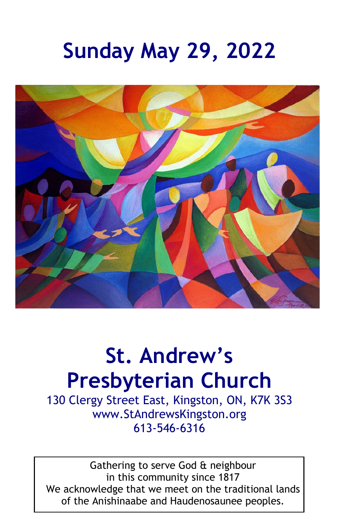# **Sunday May 29, 2022**



## **St. Andrew's Presbyterian Church**

130 Clergy Street East, Kingston, ON, K7K 3S3 www.StAndrewsKingston.org 613-546-6316

Gathering to serve God & neighbour in this community since 1817 We acknowledge that we meet on the traditional lands of the Anishinaabe and Haudenosaunee peoples.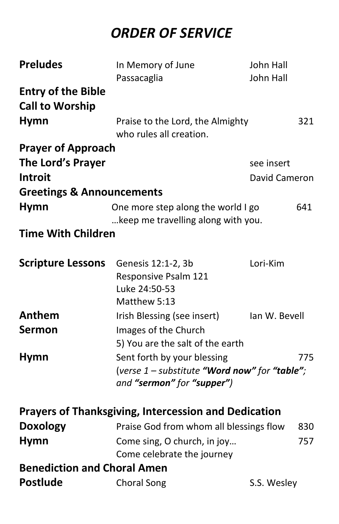## *ORDER OF SERVICE*

| <b>Preludes</b>                      | In Memory of June                                           | John Hall     |     |
|--------------------------------------|-------------------------------------------------------------|---------------|-----|
|                                      | Passacaglia                                                 | John Hall     |     |
| <b>Entry of the Bible</b>            |                                                             |               |     |
| <b>Call to Worship</b>               |                                                             |               |     |
| <b>Hymn</b>                          | Praise to the Lord, the Almighty                            |               | 321 |
|                                      | who rules all creation.                                     |               |     |
| <b>Prayer of Approach</b>            |                                                             |               |     |
| The Lord's Prayer                    |                                                             | see insert    |     |
| <b>Introit</b>                       |                                                             | David Cameron |     |
| <b>Greetings &amp; Announcements</b> |                                                             |               |     |
| <b>Hymn</b>                          | One more step along the world I go                          |               | 641 |
|                                      | keep me travelling along with you.                          |               |     |
| <b>Time With Children</b>            |                                                             |               |     |
|                                      |                                                             |               |     |
| <b>Scripture Lessons</b>             | Genesis 12:1-2, 3b                                          | Lori-Kim      |     |
|                                      | Responsive Psalm 121<br>Luke 24:50-53                       |               |     |
|                                      | Matthew 5:13                                                |               |     |
| Anthem                               | Irish Blessing (see insert)                                 | Ian W. Bevell |     |
| Sermon                               | Images of the Church                                        |               |     |
|                                      | 5) You are the salt of the earth                            |               |     |
| <b>Hymn</b>                          | Sent forth by your blessing                                 |               | 775 |
|                                      | (verse $1$ – substitute "Word now" for "table";             |               |     |
|                                      | and "sermon" for "supper")                                  |               |     |
|                                      | <b>Prayers of Thanksgiving, Intercession and Dedication</b> |               |     |
|                                      |                                                             |               |     |
| <b>Doxology</b>                      | Praise God from whom all blessings flow                     |               | 830 |
| <b>Hymn</b>                          | Come sing, O church, in joy                                 |               | 757 |
| <b>Benediction and Choral Amen</b>   | Come celebrate the journey                                  |               |     |
| <b>Postlude</b>                      |                                                             |               |     |
|                                      | <b>Choral Song</b>                                          | S.S. Wesley   |     |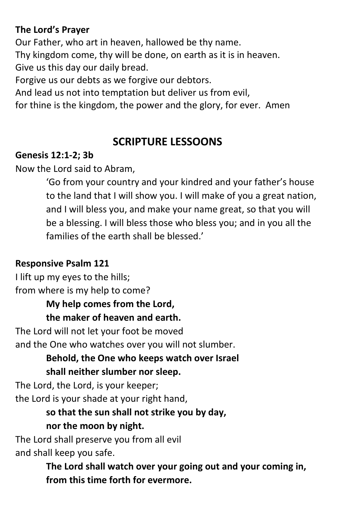#### **The Lord's Prayer**

Our Father, who art in heaven, hallowed be thy name. Thy kingdom come, thy will be done, on earth as it is in heaven. Give us this day our daily bread.

Forgive us our debts as we forgive our debtors.

And lead us not into temptation but deliver us from evil,

for thine is the kingdom, the power and the glory, for ever. Amen

## **SCRIPTURE LESSOONS**

#### **Genesis 12:1-2; 3b**

Now the Lord said to Abram,

'Go from your country and your kindred and your father's house to the land that I will show you. I will make of you a great nation, and I will bless you, and make your name great, so that you will be a blessing. I will bless those who bless you; and in you all the families of the earth shall be blessed.'

#### **Responsive Psalm 121**

I lift up my eyes to the hills; from where is my help to come? **My help comes from the Lord, the maker of heaven and earth.** The Lord will not let your foot be moved and the One who watches over you will not slumber.

#### **Behold, the One who keeps watch over Israel shall neither slumber nor sleep.**

The Lord, the Lord, is your keeper; the Lord is your shade at your right hand,

## **so that the sun shall not strike you by day,**

#### **nor the moon by night.**

The Lord shall preserve you from all evil and shall keep you safe.

> **The Lord shall watch over your going out and your coming in, from this time forth for evermore.**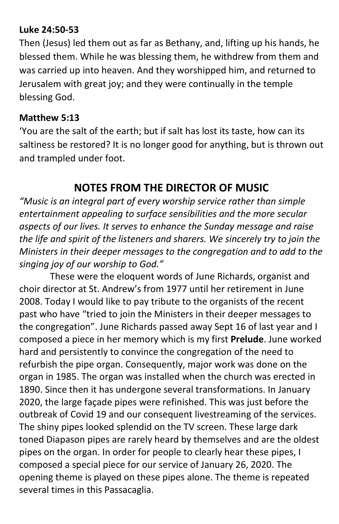#### **Luke 24:50-53**

Then (Jesus) led them out as far as Bethany, and, lifting up his hands, he blessed them. While he was blessing them, he withdrew from them and was carried up into heaven. And they worshipped him, and returned to Jerusalem with great joy; and they were continually in the temple blessing God.

#### **Matthew 5:13**

'You are the salt of the earth; but if salt has lost its taste, how can its saltiness be restored? It is no longer good for anything, but is thrown out and trampled under foot.

## **NOTES FROM THE DIRECTOR OF MUSIC**

*"Music is an integral part of every worship service rather than simple entertainment appealing to surface sensibilities and the more secular aspects of our lives. It serves to enhance the Sunday message and raise the life and spirit of the listeners and sharers. We sincerely try to join the Ministers in their deeper messages to the congregation and to add to the singing joy of our worship to God."*

These were the eloquent words of June Richards, organist and choir director at St. Andrew's from 1977 until her retirement in June 2008. Today I would like to pay tribute to the organists of the recent past who have "tried to join the Ministers in their deeper messages to the congregation". June Richards passed away Sept 16 of last year and I composed a piece in her memory which is my first **Prelude**. June worked hard and persistently to convince the congregation of the need to refurbish the pipe organ. Consequently, major work was done on the organ in 1985. The organ was installed when the church was erected in 1890. Since then it has undergone several transformations. In January 2020, the large façade pipes were refinished. This was just before the outbreak of Covid 19 and our consequent livestreaming of the services. The shiny pipes looked splendid on the TV screen. These large dark toned Diapason pipes are rarely heard by themselves and are the oldest pipes on the organ. In order for people to clearly hear these pipes, I composed a special piece for our service of January 26, 2020. The opening theme is played on these pipes alone. The theme is repeated several times in this Passacaglia.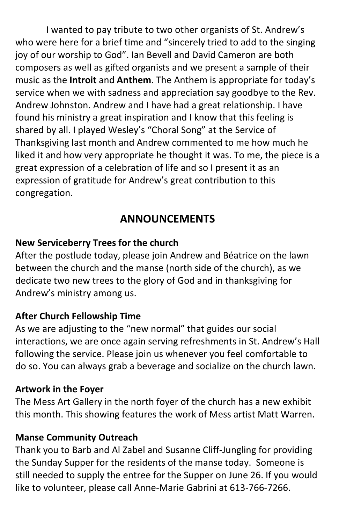I wanted to pay tribute to two other organists of St. Andrew's who were here for a brief time and "sincerely tried to add to the singing joy of our worship to God". Ian Bevell and David Cameron are both composers as well as gifted organists and we present a sample of their music as the **Introit** and **Anthem**. The Anthem is appropriate for today's service when we with sadness and appreciation say goodbye to the Rev. Andrew Johnston. Andrew and I have had a great relationship. I have found his ministry a great inspiration and I know that this feeling is shared by all. I played Wesley's "Choral Song" at the Service of Thanksgiving last month and Andrew commented to me how much he liked it and how very appropriate he thought it was. To me, the piece is a great expression of a celebration of life and so I present it as an expression of gratitude for Andrew's great contribution to this congregation.

## **ANNOUNCEMENTS**

#### **New Serviceberry Trees for the church**

After the postlude today, please join Andrew and Béatrice on the lawn between the church and the manse (north side of the church), as we dedicate two new trees to the glory of God and in thanksgiving for Andrew's ministry among us.

#### **After Church Fellowship Time**

As we are adjusting to the "new normal" that guides our social interactions, we are once again serving refreshments in St. Andrew's Hall following the service. Please join us whenever you feel comfortable to do so. You can always grab a beverage and socialize on the church lawn.

#### **Artwork in the Foyer**

The Mess Art Gallery in the north foyer of the church has a new exhibit this month. This showing features the work of Mess artist Matt Warren.

#### **Manse Community Outreach**

Thank you to Barb and Al Zabel and Susanne Cliff-Jungling for providing the Sunday Supper for the residents of the manse today. Someone is still needed to supply the entree for the Supper on June 26. If you would like to volunteer, please call Anne-Marie Gabrini at 613-766-7266.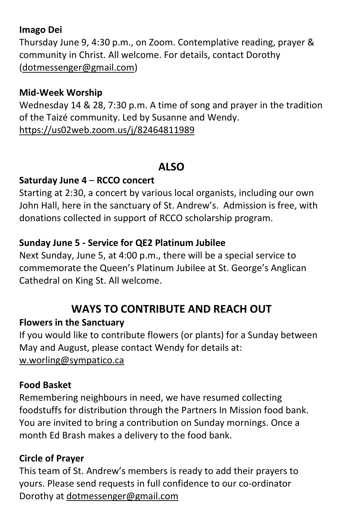#### **Imago Dei**

Thursday June 9, 4:30 p.m., on Zoom. Contemplative reading, prayer & community in Christ. All welcome. For details, contact Dorothy [\(dotmessenger@gmail.com\)](mailto:dotmessenger@gmail.com)

#### **Mid-Week Worship**

Wednesday 14 & 28, 7:30 p.m. A time of song and prayer in the tradition of the Taizé community. Led by Susanne and Wendy. <https://us02web.zoom.us/j/82464811989>

#### **ALSO**

#### **Saturday June 4** – **RCCO concert**

Starting at 2:30, a concert by various local organists, including our own John Hall, here in the sanctuary of St. Andrew's. Admission is free, with donations collected in support of RCCO scholarship program.

#### **Sunday June 5 - Service for QE2 Platinum Jubilee**

Next Sunday, June 5, at 4:00 p.m., there will be a special service to commemorate the Queen's Platinum Jubilee at St. George's Anglican Cathedral on King St. All welcome.

## **WAYS TO CONTRIBUTE AND REACH OUT**

#### **Flowers in the Sanctuary**

If you would like to contribute flowers (or plants) for a Sunday between May and August, please contact Wendy for details at: w.worling@sympatico.ca

#### **Food Basket**

Remembering neighbours in need, we have resumed collecting foodstuffs for distribution through the Partners In Mission food bank. You are invited to bring a contribution on Sunday mornings. Once a month Ed Brash makes a delivery to the food bank.

#### **Circle of Prayer**

This team of St. Andrew's members is ready to add their prayers to yours. Please send requests in full confidence to our co-ordinator Dorothy at [dotmessenger@gmail.com](mailto:dotmessenger@gmail.com)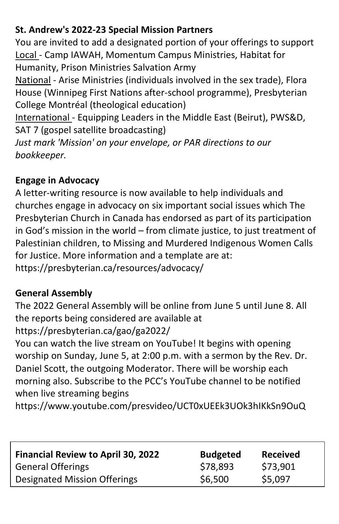#### **St. Andrew's 2022-23 Special Mission Partners**

You are invited to add a designated portion of your offerings to support Local - Camp IAWAH, Momentum Campus Ministries, Habitat for Humanity, Prison Ministries Salvation Army

National - Arise Ministries (individuals involved in the sex trade), Flora House (Winnipeg First Nations after-school programme), Presbyterian College Montréal (theological education)

International - Equipping Leaders in the Middle East (Beirut), PWS&D, SAT 7 (gospel satellite broadcasting)

*Just mark 'Mission' on your envelope, or PAR directions to our bookkeeper.*

## **Engage in Advocacy**

A letter-writing resource is now available to help individuals and churches engage in advocacy on six important social issues which The Presbyterian Church in Canada has endorsed as part of its participation in God's mission in the world – from climate justice, to just treatment of Palestinian children, to Missing and Murdered Indigenous Women Calls for Justice. More information and a template are at: https://presbyterian.ca/resources/advocacy/

## **General Assembly**

The 2022 General Assembly will be online from June 5 until June 8. All the reports being considered are available at https://presbyterian.ca/gao/ga2022/

You can watch the live stream on YouTube! It begins with opening worship on Sunday, June 5, at 2:00 p.m. with a sermon by the Rev. Dr. Daniel Scott, the outgoing Moderator. There will be worship each morning also. Subscribe to the PCC's YouTube channel to be notified when live streaming begins

https://www.youtube.com/presvideo/UCT0xUEEk3UOk3hIKkSn9OuQ

| <b>Financial Review to April 30, 2022</b> | <b>Budgeted</b> | <b>Received</b> |
|-------------------------------------------|-----------------|-----------------|
| <b>General Offerings</b>                  | \$78,893        | \$73,901        |
| <b>Designated Mission Offerings</b>       | \$6,500         | \$5,097         |